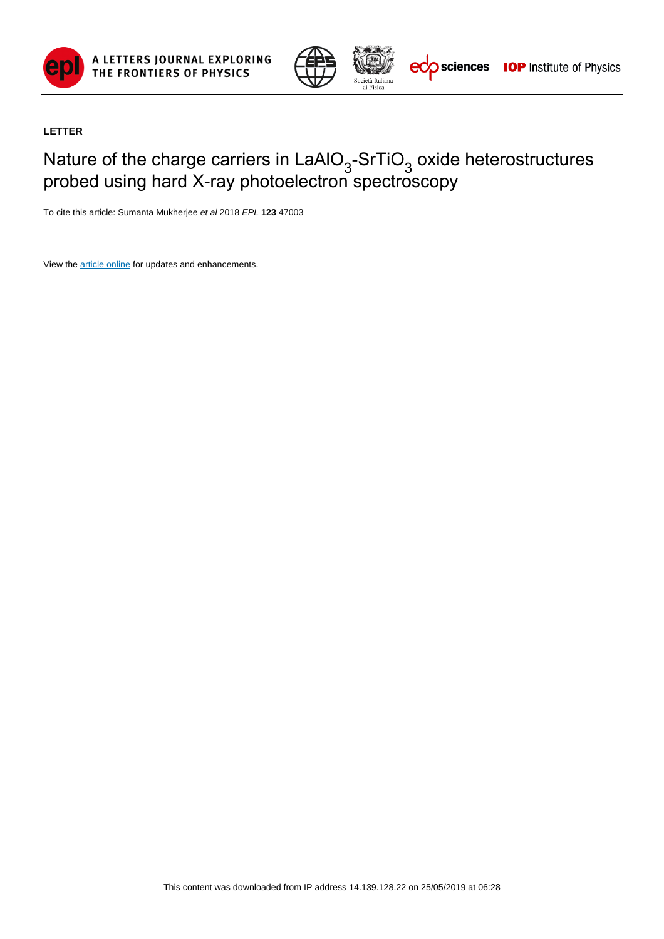



## **LETTER**

## Nature of the charge carriers in LaAlO<sub>3</sub>-SrTiO<sub>3</sub> oxide heterostructures probed using hard X-ray photoelectron spectroscopy

To cite this article: Sumanta Mukherjee et al 2018 EPL **123** 47003

View the [article online](https://doi.org/10.1209/0295-5075/123/47003) for updates and enhancements.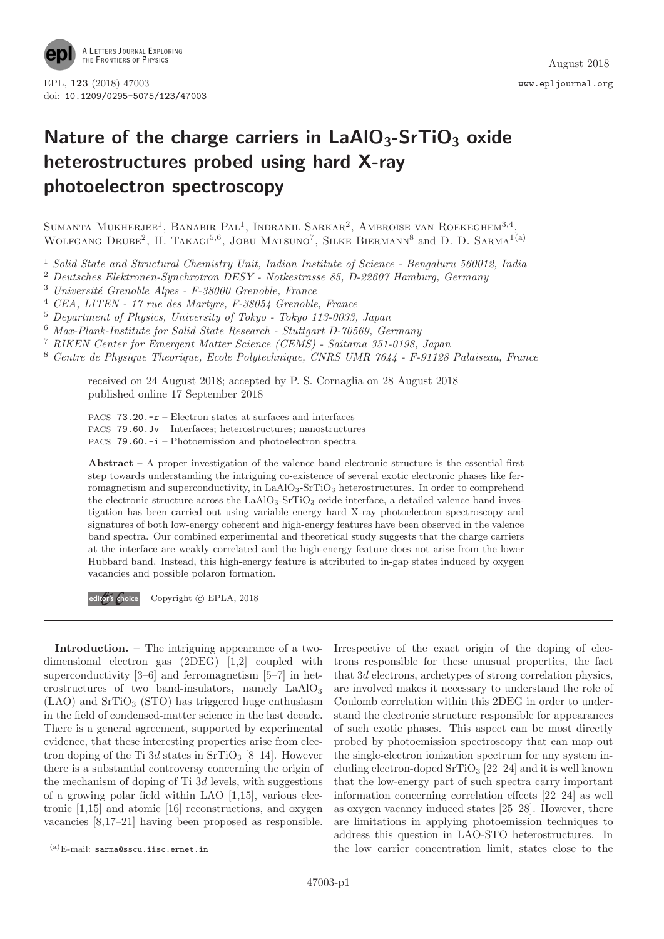

## **Nature of the charge carriers in LaAlO3-SrTiO3 oxide heterostructures probed using hard X-ray photoelectron spectroscopy**

SUMANTA MUKHERJEE<sup>1</sup>, BANABIR PAL<sup>1</sup>, INDRANIL SARKAR<sup>2</sup>, AMBROISE VAN ROEKEGHEM<sup>3,4</sup> WOLFGANG DRUBE<sup>2</sup>, H. TAKAGI<sup>5,6</sup>, JOBU MATSUNO<sup>7</sup>, SILKE BIERMANN<sup>8</sup> and D. D. SARMA<sup>1(a)</sup>

<sup>1</sup> Solid State and Structural Chemistry Unit, Indian Institute of Science - Bengaluru 560012, India

<sup>2</sup> Deutsches Elektronen-Synchrotron DESY - Notkestrasse 85, D-22607 Hamburg, Germany

 $^3$ Université Grenoble Alpes - F-38000 Grenoble, France

<sup>4</sup> CEA, LITEN - 17 rue des Martyrs, F-38054 Grenoble, France

<sup>5</sup> Department of Physics, University of Tokyo - Tokyo 113-0033, Japan

<sup>6</sup> Max-Plank-Institute for Solid State Research - Stuttgart D-70569, Germany

<sup>7</sup> RIKEN Center for Emergent Matter Science (CEMS) - Saitama 351-0198, Japan

<sup>8</sup> Centre de Physique Theorique, Ecole Polytechnique, CNRS UMR 7644 - F-91128 Palaiseau, France

received on 24 August 2018; accepted by P. S. Cornaglia on 28 August 2018 published online 17 September 2018

PACS 73.20.-r – Electron states at surfaces and interfaces PACS 79.60.Jv – Interfaces; heterostructures; nanostructures

PACS 79.60.-i – Photoemission and photoelectron spectra

**Abstract** – A proper investigation of the valence band electronic structure is the essential first step towards understanding the intriguing co-existence of several exotic electronic phases like ferromagnetism and superconductivity, in LaAlO<sub>3</sub>-SrTiO<sub>3</sub> heterostructures. In order to comprehend the electronic structure across the  $LaAlO<sub>3</sub>-SrTiO<sub>3</sub>$  oxide interface, a detailed valence band investigation has been carried out using variable energy hard X-ray photoelectron spectroscopy and signatures of both low-energy coherent and high-energy features have been observed in the valence band spectra. Our combined experimental and theoretical study suggests that the charge carriers at the interface are weakly correlated and the high-energy feature does not arise from the lower Hubbard band. Instead, this high-energy feature is attributed to in-gap states induced by oxygen vacancies and possible polaron formation.

**editor's Choice** Copyright © EPLA, 2018

**Introduction. –** The intriguing appearance of a twodimensional electron gas (2DEG) [1,2] coupled with superconductivity  $[3-6]$  and ferromagnetism  $[5-7]$  in heterostructures of two band-insulators, namely  $LaAlO<sub>3</sub>$  $(LAO)$  and  $SrTiO<sub>3</sub>$  (STO) has triggered huge enthusiasm in the field of condensed-matter science in the last decade. There is a general agreement, supported by experimental evidence, that these interesting properties arise from electron doping of the Ti 3d states in  $SrTiO<sub>3</sub>$  [8–14]. However there is a substantial controversy concerning the origin of the mechanism of doping of  $Ti 3d$  levels, with suggestions of a growing polar field within LAO [1,15], various electronic [1,15] and atomic [16] reconstructions, and oxygen vacancies [8,17–21] having been proposed as responsible.

Irrespective of the exact origin of the doping of electrons responsible for these unusual properties, the fact that 3d electrons, archetypes of strong correlation physics, are involved makes it necessary to understand the role of Coulomb correlation within this 2DEG in order to understand the electronic structure responsible for appearances of such exotic phases. This aspect can be most directly probed by photoemission spectroscopy that can map out the single-electron ionization spectrum for any system including electron-doped  $SrTiO<sub>3</sub>$  [22–24] and it is well known that the low-energy part of such spectra carry important information concerning correlation effects [22–24] as well as oxygen vacancy induced states [25–28]. However, there are limitations in applying photoemission techniques to address this question in LAO-STO heterostructures. In the low carrier concentration limit, states close to the

 $(a)$ E-mail: sarma@sscu.iisc.ernet.in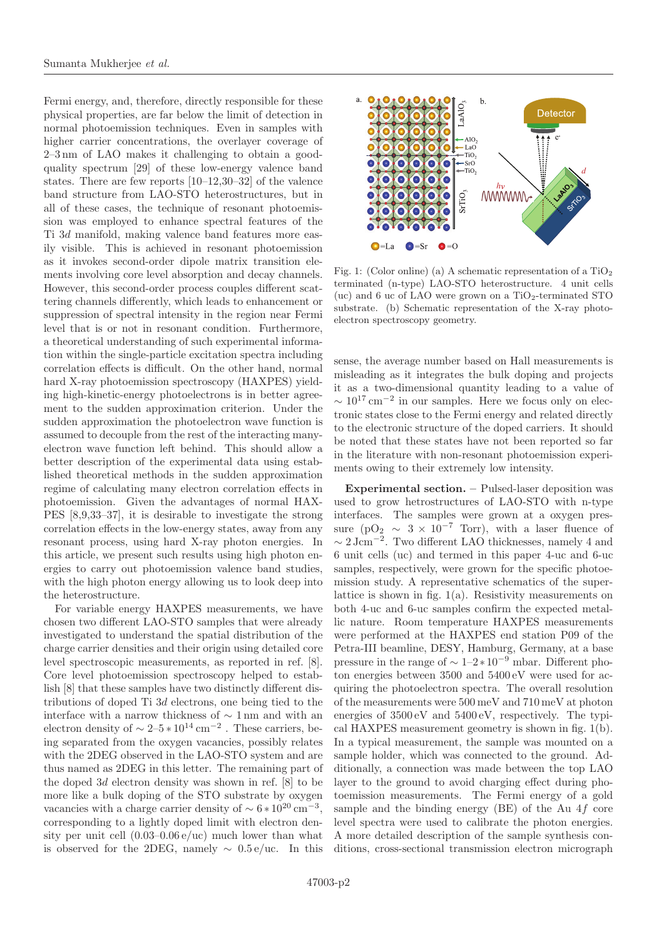Fermi energy, and, therefore, directly responsible for these physical properties, are far below the limit of detection in normal photoemission techniques. Even in samples with higher carrier concentrations, the overlayer coverage of 2–3 nm of LAO makes it challenging to obtain a goodquality spectrum [29] of these low-energy valence band states. There are few reports [10–12,30–32] of the valence band structure from LAO-STO heterostructures, but in all of these cases, the technique of resonant photoemission was employed to enhance spectral features of the Ti 3d manifold, making valence band features more easily visible. This is achieved in resonant photoemission as it invokes second-order dipole matrix transition elements involving core level absorption and decay channels. However, this second-order process couples different scattering channels differently, which leads to enhancement or suppression of spectral intensity in the region near Fermi level that is or not in resonant condition. Furthermore, a theoretical understanding of such experimental information within the single-particle excitation spectra including correlation effects is difficult. On the other hand, normal hard X-ray photoemission spectroscopy (HAXPES) yielding high-kinetic-energy photoelectrons is in better agreement to the sudden approximation criterion. Under the sudden approximation the photoelectron wave function is assumed to decouple from the rest of the interacting manyelectron wave function left behind. This should allow a better description of the experimental data using established theoretical methods in the sudden approximation regime of calculating many electron correlation effects in photoemission. Given the advantages of normal HAX-PES [8,9,33–37], it is desirable to investigate the strong correlation effects in the low-energy states, away from any resonant process, using hard X-ray photon energies. In this article, we present such results using high photon energies to carry out photoemission valence band studies, with the high photon energy allowing us to look deep into the heterostructure.

For variable energy HAXPES measurements, we have chosen two different LAO-STO samples that were already investigated to understand the spatial distribution of the charge carrier densities and their origin using detailed core level spectroscopic measurements, as reported in ref. [8]. Core level photoemission spectroscopy helped to establish [8] that these samples have two distinctly different distributions of doped Ti 3d electrons, one being tied to the interface with a narrow thickness of ∼ 1 nm and with an electron density of  $\sim 2-5*10^{14}$  cm<sup>-2</sup>. These carriers, being separated from the oxygen vacancies, possibly relates with the 2DEG observed in the LAO-STO system and are thus named as 2DEG in this letter. The remaining part of the doped 3d electron density was shown in ref. [8] to be more like a bulk doping of the STO substrate by oxygen vacancies with a charge carrier density of  $\sim 6 * 10^{20}$  cm<sup>-3</sup>, corresponding to a lightly doped limit with electron density per unit cell  $(0.03-0.06 \,\mathrm{e}/\mathrm{uc})$  much lower than what is observed for the 2DEG, namely  $\sim 0.5 e/\text{uc}$ . In this



<span id="page-2-0"></span>Fig. 1: (Color online) (a) A schematic representation of a  $TiO<sub>2</sub>$ terminated (n-type) LAO-STO heterostructure. 4 unit cells (uc) and 6 uc of LAO were grown on a  $TiO<sub>2</sub>$ -terminated STO substrate. (b) Schematic representation of the X-ray photoelectron spectroscopy geometry.

sense, the average number based on Hall measurements is misleading as it integrates the bulk doping and projects it as a two-dimensional quantity leading to a value of  $\sim 10^{17}$  cm<sup>-2</sup> in our samples. Here we focus only on electronic states close to the Fermi energy and related directly to the electronic structure of the doped carriers. It should be noted that these states have not been reported so far in the literature with non-resonant photoemission experiments owing to their extremely low intensity.

**Experimental section. –** Pulsed-laser deposition was used to grow hetrostructures of LAO-STO with n-type interfaces. The samples were grown at a oxygen pressure (pO<sub>2</sub>  $\sim$  3 × 10<sup>-7</sup> Torr), with a laser fluence of  $\sim 2 \, \rm{J cm^{-2}}.$  Two different LAO thicknesses, namely 4 and 6 unit cells (uc) and termed in this paper 4-uc and 6-uc samples, respectively, were grown for the specific photoemission study. A representative schematics of the superlattice is shown in fig. [1\(](#page-2-0)a). Resistivity measurements on both 4-uc and 6-uc samples confirm the expected metallic nature. Room temperature HAXPES measurements were performed at the HAXPES end station P09 of the Petra-III beamline, DESY, Hamburg, Germany, at a base pressure in the range of  $\sim 1-2*10^{-9}$  mbar. Different photon energies between 3500 and 5400 eV were used for acquiring the photoelectron spectra. The overall resolution of the measurements were 500 meV and 710 meV at photon energies of 3500 eV and 5400 eV, respectively. The typical HAXPES measurement geometry is shown in fig. [1\(](#page-2-0)b). In a typical measurement, the sample was mounted on a sample holder, which was connected to the ground. Additionally, a connection was made between the top LAO layer to the ground to avoid charging effect during photoemission measurements. The Fermi energy of a gold sample and the binding energy  $(BE)$  of the Au 4f core level spectra were used to calibrate the photon energies. A more detailed description of the sample synthesis conditions, cross-sectional transmission electron micrograph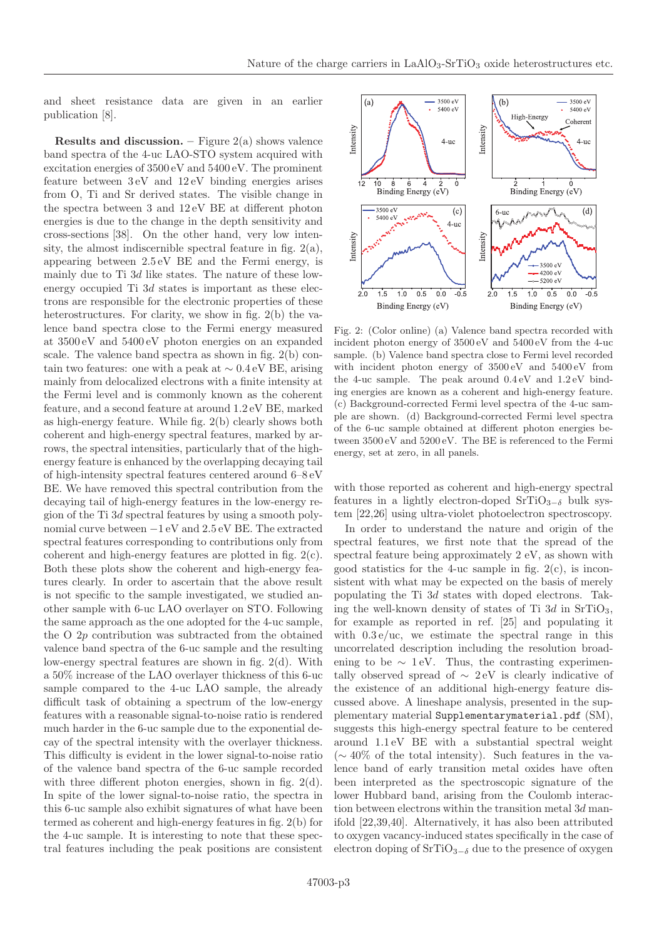and sheet resistance data are given in an earlier publication [8].

**Results and discussion. –** Figure  $2(a)$  shows valence band spectra of the 4-uc LAO-STO system acquired with excitation energies of 3500 eV and 5400 eV. The prominent feature between 3 eV and 12 eV binding energies arises from O, Ti and Sr derived states. The visible change in the spectra between 3 and 12 eV BE at different photon energies is due to the change in the depth sensitivity and cross-sections [38]. On the other hand, very low intensity, the almost indiscernible spectral feature in fig.  $2(a)$ , appearing between 2.5 eV BE and the Fermi energy, is mainly due to Ti 3d like states. The nature of these lowenergy occupied Ti 3d states is important as these electrons are responsible for the electronic properties of these heterostructures. For clarity, we show in fig. [2\(](#page-3-0)b) the valence band spectra close to the Fermi energy measured at 3500 eV and 5400 eV photon energies on an expanded scale. The valence band spectra as shown in fig. [2\(](#page-3-0)b) contain two features: one with a peak at  $\sim 0.4 \text{ eV}$  BE, arising mainly from delocalized electrons with a finite intensity at the Fermi level and is commonly known as the coherent feature, and a second feature at around 1.2 eV BE, marked as high-energy feature. While fig. [2\(](#page-3-0)b) clearly shows both coherent and high-energy spectral features, marked by arrows, the spectral intensities, particularly that of the highenergy feature is enhanced by the overlapping decaying tail of high-intensity spectral features centered around 6–8 eV BE. We have removed this spectral contribution from the decaying tail of high-energy features in the low-energy region of the Ti 3d spectral features by using a smooth polynomial curve between −1 eV and 2.5 eV BE. The extracted spectral features corresponding to contributions only from coherent and high-energy features are plotted in fig. [2\(](#page-3-0)c). Both these plots show the coherent and high-energy features clearly. In order to ascertain that the above result is not specific to the sample investigated, we studied another sample with 6-uc LAO overlayer on STO. Following the same approach as the one adopted for the 4-uc sample, the O 2p contribution was subtracted from the obtained valence band spectra of the 6-uc sample and the resulting low-energy spectral features are shown in fig. [2\(](#page-3-0)d). With a 50% increase of the LAO overlayer thickness of this 6-uc sample compared to the 4-uc LAO sample, the already difficult task of obtaining a spectrum of the low-energy features with a reasonable signal-to-noise ratio is rendered much harder in the 6-uc sample due to the exponential decay of the spectral intensity with the overlayer thickness. This difficulty is evident in the lower signal-to-noise ratio of the valence band spectra of the 6-uc sample recorded with three different photon energies, shown in fig. [2\(](#page-3-0)d). In spite of the lower signal-to-noise ratio, the spectra in this 6-uc sample also exhibit signatures of what have been termed as coherent and high-energy features in fig. [2\(](#page-3-0)b) for the 4-uc sample. It is interesting to note that these spectral features including the peak positions are consistent



<span id="page-3-0"></span>Fig. 2: (Color online) (a) Valence band spectra recorded with incident photon energy of 3500 eV and 5400 eV from the 4-uc sample. (b) Valence band spectra close to Fermi level recorded with incident photon energy of 3500 eV and 5400 eV from the 4-uc sample. The peak around 0.4 eV and 1.2 eV binding energies are known as a coherent and high-energy feature. (c) Background-corrected Fermi level spectra of the 4-uc sample are shown. (d) Background-corrected Fermi level spectra of the 6-uc sample obtained at different photon energies between 3500 eV and 5200 eV. The BE is referenced to the Fermi energy, set at zero, in all panels.

with those reported as coherent and high-energy spectral features in a lightly electron-doped  $\text{SrTiO}_{3-6}$  bulk system [22,26] using ultra-violet photoelectron spectroscopy.

In order to understand the nature and origin of the spectral features, we first note that the spread of the spectral feature being approximately 2 eV, as shown with good statistics for the 4-uc sample in fig.  $2(c)$ , is inconsistent with what may be expected on the basis of merely populating the Ti 3d states with doped electrons. Taking the well-known density of states of Ti  $3d$  in SrTiO<sub>3</sub>, for example as reported in ref. [25] and populating it with  $0.3 e/uc$ , we estimate the spectral range in this uncorrelated description including the resolution broadening to be  $\sim 1$  eV. Thus, the contrasting experimentally observed spread of  $\sim 2$  eV is clearly indicative of the existence of an additional high-energy feature discussed above. A lineshape analysis, presented in the supplementary material [Supplementarymaterial.pdf](http://stacks.iop.org/0295-5075/xxx/xxxxx/mmedia) (SM), suggests this high-energy spectral feature to be centered around 1.1 eV BE with a substantial spectral weight (∼ 40% of the total intensity). Such features in the valence band of early transition metal oxides have often been interpreted as the spectroscopic signature of the lower Hubbard band, arising from the Coulomb interaction between electrons within the transition metal  $3d$  manifold [22,39,40]. Alternatively, it has also been attributed to oxygen vacancy-induced states specifically in the case of electron doping of  $SrTiO_{3-\delta}$  due to the presence of oxygen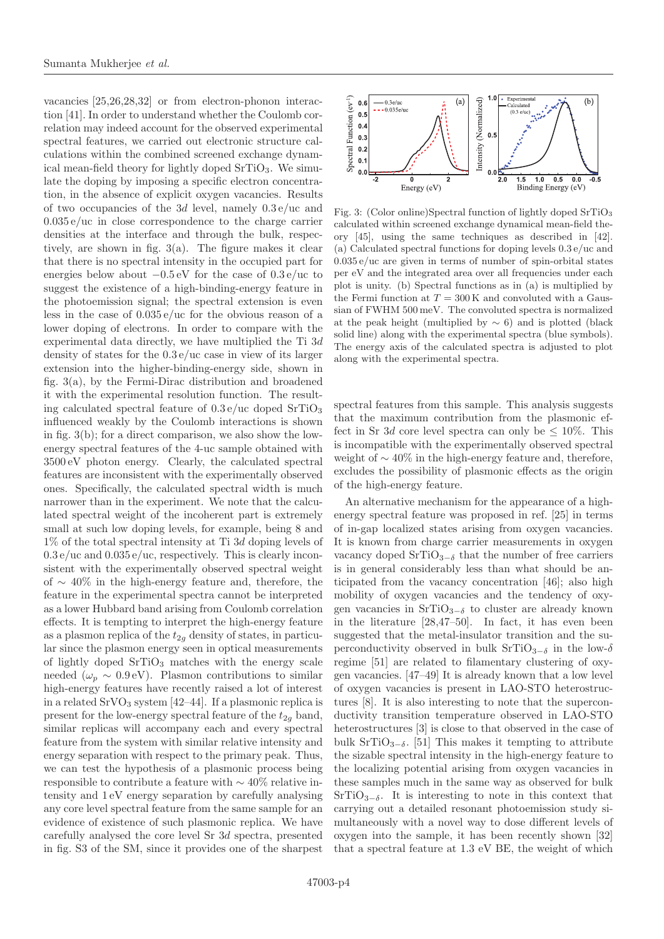vacancies [25,26,28,32] or from electron-phonon interaction [41]. In order to understand whether the Coulomb correlation may indeed account for the observed experimental spectral features, we carried out electronic structure calculations within the combined screened exchange dynamical mean-field theory for lightly doped  $SrTiO<sub>3</sub>$ . We simulate the doping by imposing a specific electron concentration, in the absence of explicit oxygen vacancies. Results of two occupancies of the 3d level, namely  $0.3 e / \text{uc}$  and  $0.035 e/\text{uc}$  in close correspondence to the charge carrier densities at the interface and through the bulk, respectively, are shown in fig. [3\(](#page-4-0)a). The figure makes it clear that there is no spectral intensity in the occupied part for energies below about −0.5 eV for the case of 0.3 e/uc to suggest the existence of a high-binding-energy feature in the photoemission signal; the spectral extension is even less in the case of 0.035 e/uc for the obvious reason of a lower doping of electrons. In order to compare with the experimental data directly, we have multiplied the Ti 3d density of states for the 0.3 e/uc case in view of its larger extension into the higher-binding-energy side, shown in fig. [3\(](#page-4-0)a), by the Fermi-Dirac distribution and broadened it with the experimental resolution function. The resulting calculated spectral feature of  $0.3 \frac{e}{u}$  doped SrTiO<sub>3</sub> influenced weakly by the Coulomb interactions is shown in fig. [3\(](#page-4-0)b); for a direct comparison, we also show the lowenergy spectral features of the 4-uc sample obtained with 3500 eV photon energy. Clearly, the calculated spectral features are inconsistent with the experimentally observed ones. Specifically, the calculated spectral width is much narrower than in the experiment. We note that the calculated spectral weight of the incoherent part is extremely small at such low doping levels, for example, being 8 and 1% of the total spectral intensity at Ti 3d doping levels of  $0.3 e/uc$  and  $0.035 e/uc$ , respectively. This is clearly inconsistent with the experimentally observed spectral weight of ∼ 40% in the high-energy feature and, therefore, the feature in the experimental spectra cannot be interpreted as a lower Hubbard band arising from Coulomb correlation effects. It is tempting to interpret the high-energy feature as a plasmon replica of the  $t_{2q}$  density of states, in particular since the plasmon energy seen in optical measurements of lightly doped  $SrTiO<sub>3</sub>$  matches with the energy scale needed ( $\omega_p \sim 0.9 \text{ eV}$ ). Plasmon contributions to similar high-energy features have recently raised a lot of interest in a related  $\text{SrVO}_3$  system [42–44]. If a plasmonic replica is present for the low-energy spectral feature of the  $t_{2q}$  band, similar replicas will accompany each and every spectral feature from the system with similar relative intensity and energy separation with respect to the primary peak. Thus, we can test the hypothesis of a plasmonic process being responsible to contribute a feature with ∼ 40% relative intensity and 1 eV energy separation by carefully analysing any core level spectral feature from the same sample for an evidence of existence of such plasmonic replica. We have carefully analysed the core level Sr 3d spectra, presented in fig. S3 of the SM, since it provides one of the sharpest



<span id="page-4-0"></span>Fig. 3: (Color online)Spectral function of lightly doped SrTiO<sub>3</sub> calculated within screened exchange dynamical mean-field theory [45], using the same techniques as described in [42]. (a) Calculated spectral functions for doping levels 0.3 e/uc and 0.035 e/uc are given in terms of number of spin-orbital states per eV and the integrated area over all frequencies under each plot is unity. (b) Spectral functions as in (a) is multiplied by the Fermi function at  $T = 300 \text{ K}$  and convoluted with a Gaussian of FWHM 500 meV. The convoluted spectra is normalized at the peak height (multiplied by  $\sim$  6) and is plotted (black solid line) along with the experimental spectra (blue symbols). The energy axis of the calculated spectra is adjusted to plot along with the experimental spectra.

spectral features from this sample. This analysis suggests that the maximum contribution from the plasmonic effect in Sr 3d core level spectra can only be  $\leq 10\%$ . This is incompatible with the experimentally observed spectral weight of  $\sim$  40% in the high-energy feature and, therefore, excludes the possibility of plasmonic effects as the origin of the high-energy feature.

An alternative mechanism for the appearance of a highenergy spectral feature was proposed in ref. [25] in terms of in-gap localized states arising from oxygen vacancies. It is known from charge carrier measurements in oxygen vacancy doped  $SrTiO_{3-\delta}$  that the number of free carriers is in general considerably less than what should be anticipated from the vacancy concentration [46]; also high mobility of oxygen vacancies and the tendency of oxygen vacancies in SrTiO<sub>3−δ</sub> to cluster are already known in the literature [28,47–50]. In fact, it has even been suggested that the metal-insulator transition and the superconductivity observed in bulk SrTiO<sub>3−δ</sub> in the low- $\delta$ regime [51] are related to filamentary clustering of oxygen vacancies. [47–49] It is already known that a low level of oxygen vacancies is present in LAO-STO heterostructures [8]. It is also interesting to note that the superconductivity transition temperature observed in LAO-STO heterostructures [3] is close to that observed in the case of bulk SrTiO<sub>3−δ</sub>. [51] This makes it tempting to attribute the sizable spectral intensity in the high-energy feature to the localizing potential arising from oxygen vacancies in these samples much in the same way as observed for bulk  $SrTiO<sub>3−δ</sub>$ . It is interesting to note in this context that carrying out a detailed resonant photoemission study simultaneously with a novel way to dose different levels of oxygen into the sample, it has been recently shown [32] that a spectral feature at 1.3 eV BE, the weight of which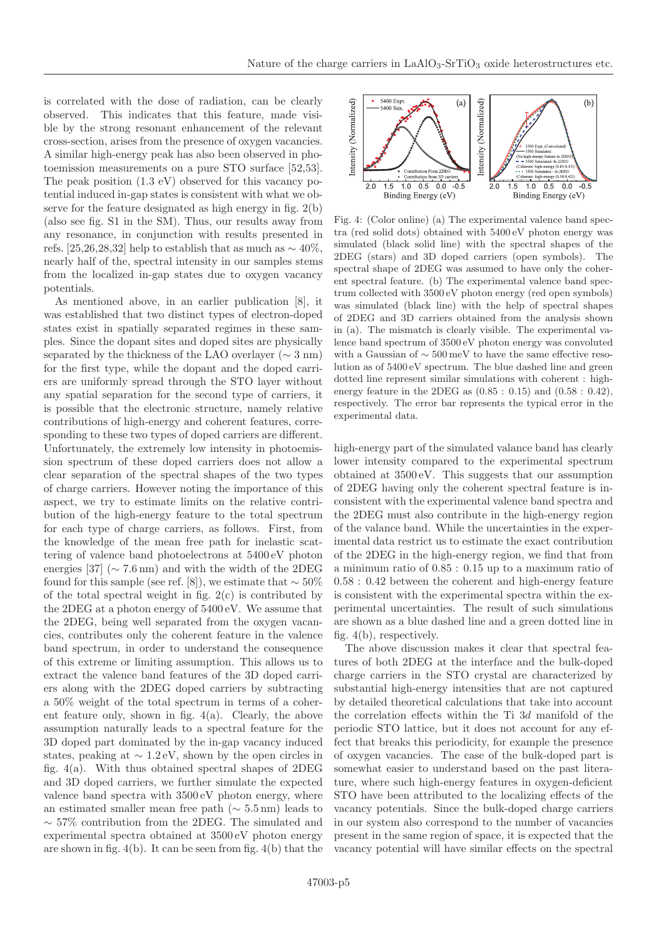is correlated with the dose of radiation, can be clearly observed. This indicates that this feature, made visible by the strong resonant enhancement of the relevant cross-section, arises from the presence of oxygen vacancies. A similar high-energy peak has also been observed in photoemission measurements on a pure STO surface [52,53]. The peak position (1.3 eV) observed for this vacancy potential induced in-gap states is consistent with what we observe for the feature designated as high energy in fig. [2\(](#page-3-0)b) (also see fig. S1 in the SM). Thus, our results away from any resonance, in conjunction with results presented in refs. [25,26,28,32] help to establish that as much as  $\sim 40\%$ . nearly half of the, spectral intensity in our samples stems from the localized in-gap states due to oxygen vacancy potentials.

As mentioned above, in an earlier publication [8], it was established that two distinct types of electron-doped states exist in spatially separated regimes in these samples. Since the dopant sites and doped sites are physically separated by the thickness of the LAO overlayer ( $\sim 3$  nm) for the first type, while the dopant and the doped carriers are uniformly spread through the STO layer without any spatial separation for the second type of carriers, it is possible that the electronic structure, namely relative contributions of high-energy and coherent features, corresponding to these two types of doped carriers are different. Unfortunately, the extremely low intensity in photoemission spectrum of these doped carriers does not allow a clear separation of the spectral shapes of the two types of charge carriers. However noting the importance of this aspect, we try to estimate limits on the relative contribution of the high-energy feature to the total spectrum for each type of charge carriers, as follows. First, from the knowledge of the mean free path for inelastic scattering of valence band photoelectrons at 5400 eV photon energies [37] ( $\sim$  7.6 nm) and with the width of the 2DEG found for this sample (see ref. [8]), we estimate that  $\sim 50\%$ of the total spectral weight in fig.  $2(c)$  is contributed by the 2DEG at a photon energy of 5400 eV. We assume that the 2DEG, being well separated from the oxygen vacancies, contributes only the coherent feature in the valence band spectrum, in order to understand the consequence of this extreme or limiting assumption. This allows us to extract the valence band features of the 3D doped carriers along with the 2DEG doped carriers by subtracting a 50% weight of the total spectrum in terms of a coherent feature only, shown in fig. [4\(](#page-5-0)a). Clearly, the above assumption naturally leads to a spectral feature for the 3D doped part dominated by the in-gap vacancy induced states, peaking at  $\sim 1.2 \text{ eV}$ , shown by the open circles in fig. [4\(](#page-5-0)a). With thus obtained spectral shapes of 2DEG and 3D doped carriers, we further simulate the expected valence band spectra with 3500 eV photon energy, where an estimated smaller mean free path ( $\sim$  5.5 nm) leads to ∼ 57% contribution from the 2DEG. The simulated and experimental spectra obtained at 3500 eV photon energy are shown in fig.  $4(b)$ . It can be seen from fig.  $4(b)$  that the



<span id="page-5-0"></span>Fig. 4: (Color online) (a) The experimental valence band spectra (red solid dots) obtained with 5400 eV photon energy was simulated (black solid line) with the spectral shapes of the 2DEG (stars) and 3D doped carriers (open symbols). The spectral shape of 2DEG was assumed to have only the coherent spectral feature. (b) The experimental valence band spectrum collected with 3500 eV photon energy (red open symbols) was simulated (black line) with the help of spectral shapes of 2DEG and 3D carriers obtained from the analysis shown in (a). The mismatch is clearly visible. The experimental valence band spectrum of 3500 eV photon energy was convoluted with a Gaussian of  $\sim 500\,\mathrm{meV}$  to have the same effective resolution as of 5400 eV spectrum. The blue dashed line and green dotted line represent similar simulations with coherent : highenergy feature in the 2DEG as  $(0.85 : 0.15)$  and  $(0.58 : 0.42)$ , respectively. The error bar represents the typical error in the experimental data.

high-energy part of the simulated valance band has clearly lower intensity compared to the experimental spectrum obtained at 3500 eV. This suggests that our assumption of 2DEG having only the coherent spectral feature is inconsistent with the experimental valence band spectra and the 2DEG must also contribute in the high-energy region of the valance band. While the uncertainties in the experimental data restrict us to estimate the exact contribution of the 2DEG in the high-energy region, we find that from a minimum ratio of 0.85 : 0.15 up to a maximum ratio of 0.58 : 0.42 between the coherent and high-energy feature is consistent with the experimental spectra within the experimental uncertainties. The result of such simulations are shown as a blue dashed line and a green dotted line in fig. [4\(](#page-5-0)b), respectively.

The above discussion makes it clear that spectral features of both 2DEG at the interface and the bulk-doped charge carriers in the STO crystal are characterized by substantial high-energy intensities that are not captured by detailed theoretical calculations that take into account the correlation effects within the Ti 3d manifold of the periodic STO lattice, but it does not account for any effect that breaks this periodicity, for example the presence of oxygen vacancies. The case of the bulk-doped part is somewhat easier to understand based on the past literature, where such high-energy features in oxygen-deficient STO have been attributed to the localizing effects of the vacancy potentials. Since the bulk-doped charge carriers in our system also correspond to the number of vacancies present in the same region of space, it is expected that the vacancy potential will have similar effects on the spectral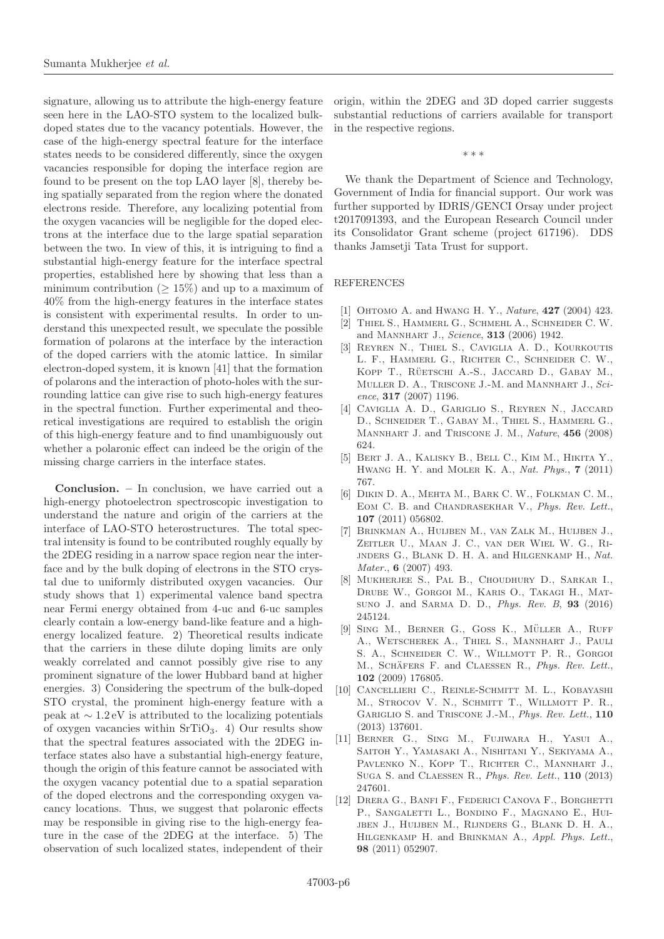signature, allowing us to attribute the high-energy feature seen here in the LAO-STO system to the localized bulkdoped states due to the vacancy potentials. However, the case of the high-energy spectral feature for the interface states needs to be considered differently, since the oxygen vacancies responsible for doping the interface region are found to be present on the top LAO layer [8], thereby being spatially separated from the region where the donated electrons reside. Therefore, any localizing potential from the oxygen vacancies will be negligible for the doped electrons at the interface due to the large spatial separation between the two. In view of this, it is intriguing to find a substantial high-energy feature for the interface spectral properties, established here by showing that less than a minimum contribution ( $\geq 15\%$ ) and up to a maximum of 40% from the high-energy features in the interface states is consistent with experimental results. In order to understand this unexpected result, we speculate the possible formation of polarons at the interface by the interaction of the doped carriers with the atomic lattice. In similar electron-doped system, it is known [41] that the formation of polarons and the interaction of photo-holes with the surrounding lattice can give rise to such high-energy features in the spectral function. Further experimental and theoretical investigations are required to establish the origin of this high-energy feature and to find unambiguously out whether a polaronic effect can indeed be the origin of the missing charge carriers in the interface states.

**Conclusion. –** In conclusion, we have carried out a high-energy photoelectron spectroscopic investigation to understand the nature and origin of the carriers at the interface of LAO-STO heterostructures. The total spectral intensity is found to be contributed roughly equally by the 2DEG residing in a narrow space region near the interface and by the bulk doping of electrons in the STO crystal due to uniformly distributed oxygen vacancies. Our study shows that 1) experimental valence band spectra near Fermi energy obtained from 4-uc and 6-uc samples clearly contain a low-energy band-like feature and a highenergy localized feature. 2) Theoretical results indicate that the carriers in these dilute doping limits are only weakly correlated and cannot possibly give rise to any prominent signature of the lower Hubbard band at higher energies. 3) Considering the spectrum of the bulk-doped STO crystal, the prominent high-energy feature with a peak at  $\sim 1.2 \text{ eV}$  is attributed to the localizing potentials of oxygen vacancies within  $SrTiO<sub>3</sub>$ . 4) Our results show that the spectral features associated with the 2DEG interface states also have a substantial high-energy feature, though the origin of this feature cannot be associated with the oxygen vacancy potential due to a spatial separation of the doped electrons and the corresponding oxygen vacancy locations. Thus, we suggest that polaronic effects may be responsible in giving rise to the high-energy feature in the case of the 2DEG at the interface. 5) The observation of such localized states, independent of their origin, within the 2DEG and 3D doped carrier suggests substantial reductions of carriers available for transport in the respective regions.

∗∗∗

We thank the Department of Science and Technology, Government of India for financial support. Our work was further supported by IDRIS/GENCI Orsay under project t2017091393, and the European Research Council under its Consolidator Grant scheme (project 617196). DDS thanks Jamsetji Tata Trust for support.

## REFERENCES

- [1] Ohtomo A. and Hwang H. Y., Nature, **427** (2004) 423.
- [2] Thiel S., Hammerl G., Schmehl A., Schneider C. W. and Mannhart J., Science, **313** (2006) 1942.
- [3] Reyren N., Thiel S., Caviglia A. D., Kourkoutis L. F., Hammerl G., Richter C., Schneider C. W., KOPP T., RÜETSCHI A.-S., JACCARD D., GABAY M., MULLER D. A., TRISCONE J.-M. and MANNHART J., Science, **317** (2007) 1196.
- [4] Caviglia A. D., Gariglio S., Reyren N., Jaccard D., Schneider T., Gabay M., Thiel S., Hammerl G., Mannhart J. and Triscone J. M., Nature, **456** (2008) 624.
- [5] Bert J. A., Kalisky B., Bell C., Kim M., Hikita Y., Hwang H. Y. and Moler K. A., Nat. Phys., **7** (2011) 767.
- [6] Dikin D. A., Mehta M., Bark C. W., Folkman C. M., EOM C. B. and CHANDRASEKHAR V., Phys. Rev. Lett., **107** (2011) 056802.
- [7] Brinkman A., Huijben M., van Zalk M., Huijben J., Zeitler U., Maan J. C., van der Wiel W. G., Ri-JNDERS G., BLANK D. H. A. and HILGENKAMP H., Nat. Mater., **6** (2007) 493.
- [8] Mukherjee S., Pal B., Choudhury D., Sarkar I., Drube W., Gorgoi M., Karis O., Takagi H., Matsuno J. and Sarma D. D., Phys. Rev. B, **93** (2016) 245124.
- [9] SING M., BERNER G., GOSS K., MÜLLER A., RUFF A., Wetscherek A., Thiel S., Mannhart J., Pauli S. A., Schneider C. W., Willmott P. R., Gorgoi M., SCHÄFERS F. and CLAESSEN R., Phys. Rev. Lett., **102** (2009) 176805.
- [10] Cancellieri C., Reinle-Schmitt M. L., Kobayashi M., STROCOV V. N., SCHMITT T., WILLMOTT P. R., Gariglio S. and Triscone J.-M., Phys. Rev. Lett., **110** (2013) 137601.
- [11] Berner G., Sing M., Fujiwara H., Yasui A., Saitoh Y., Yamasaki A., Nishitani Y., Sekiyama A., Pavlenko N., Kopp T., Richter C., Mannhart J., Suga S. and Claessen R., Phys. Rev. Lett., **110** (2013) 247601.
- [12] Drera G., Banfi F., Federici Canova F., Borghetti P., SANGALETTI L., BONDINO F., MAGNANO E., HUIjben J., Huijben M., Rijnders G., Blank D. H. A., Hilgenkamp H. and Brinkman A., Appl. Phys. Lett., **98** (2011) 052907.